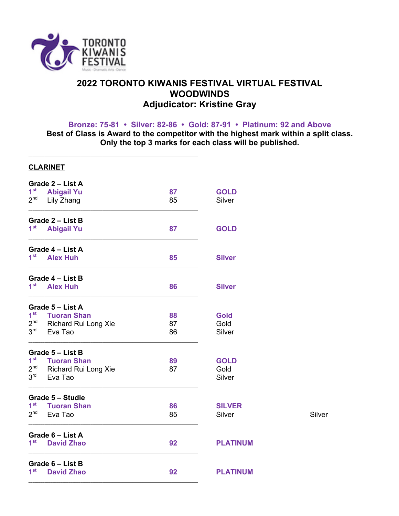

## **2022 TORONTO KIWANIS FESTIVAL VIRTUAL FESTIVAL WOODWINDS Adjudicator: Kristine Gray**

**Bronze: 75-81 • Silver: 82-86 • Gold: 87-91 • Platinum: 92 and Above**

**Best of Class is Award to the competitor with the highest mark within a split class. Only the top 3 marks for each class will be published.**

|                 | <b>CLARINET</b>                      |    |                 |        |
|-----------------|--------------------------------------|----|-----------------|--------|
|                 | Grade 2 - List A                     |    |                 |        |
| 1 <sup>st</sup> | <b>Abigail Yu</b>                    | 87 | <b>GOLD</b>     |        |
| 2 <sup>nd</sup> | Lily Zhang                           | 85 | Silver          |        |
|                 | Grade 2 - List B                     |    |                 |        |
| 1 <sup>st</sup> | <b>Abigail Yu</b>                    | 87 | <b>GOLD</b>     |        |
|                 | Grade 4 - List A                     |    |                 |        |
| 1 <sup>st</sup> | <b>Alex Huh</b>                      | 85 | <b>Silver</b>   |        |
|                 | Grade 4 - List B                     |    |                 |        |
| 1 <sup>st</sup> | <b>Alex Huh</b>                      | 86 | <b>Silver</b>   |        |
|                 | Grade 5 - List A                     |    |                 |        |
|                 | 1 <sup>st</sup> Tuoran Shan          | 88 | <b>Gold</b>     |        |
|                 | 2 <sup>nd</sup> Richard Rui Long Xie | 87 | Gold            |        |
| 3 <sup>rd</sup> | Eva Tao                              | 86 | Silver          |        |
|                 | Grade 5 - List B                     |    |                 |        |
|                 | 1 <sup>st</sup> Tuoran Shan          | 89 | <b>GOLD</b>     |        |
|                 | 2 <sup>nd</sup> Richard Rui Long Xie | 87 | Gold            |        |
|                 | 3rd Eva Tao                          |    | Silver          |        |
|                 | Grade 5 - Studie                     |    |                 |        |
| $1^{\rm st}$    | <b>Tuoran Shan</b>                   | 86 | <b>SILVER</b>   |        |
| 2 <sup>nd</sup> | Eva Tao                              | 85 | Silver          | Silver |
|                 | Grade 6 - List A                     |    |                 |        |
| 1 <sup>st</sup> | <b>David Zhao</b>                    | 92 | <b>PLATINUM</b> |        |
|                 | Grade 6 - List B                     |    |                 |        |
| 1 <sup>st</sup> | <b>David Zhao</b>                    | 92 | <b>PLATINUM</b> |        |

–––––––––––––––––––––––––––––––––––––––––––––––––––––––––––––––––––––––––––––––––––––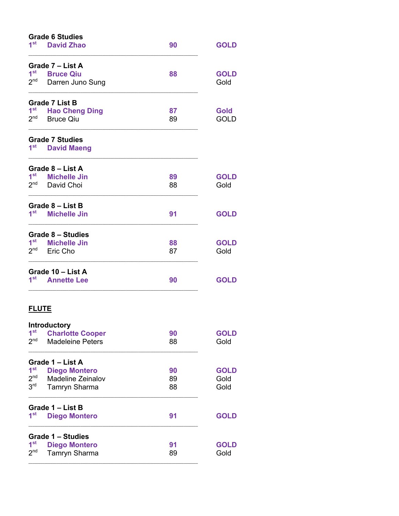| <b>Grade 6 Studies</b> |                          |    |             |
|------------------------|--------------------------|----|-------------|
| 1 <sup>st</sup>        | <b>David Zhao</b>        | 90 | <b>GOLD</b> |
|                        | Grade 7 - List A         |    |             |
| 1 <sup>st</sup>        | <b>Bruce Qiu</b>         | 88 | <b>GOLD</b> |
| 2 <sup>nd</sup>        | Darren Juno Sung         |    | Gold        |
|                        | <b>Grade 7 List B</b>    |    |             |
| 1 <sup>st</sup>        | <b>Hao Cheng Ding</b>    | 87 | <b>Gold</b> |
| 2 <sup>nd</sup>        | <b>Bruce Qiu</b>         | 89 | <b>GOLD</b> |
|                        | <b>Grade 7 Studies</b>   |    |             |
| 1 <sup>st</sup>        | <b>David Maeng</b>       |    |             |
|                        | Grade 8 - List A         |    |             |
| 1 <sup>st</sup>        | <b>Michelle Jin</b>      | 89 | <b>GOLD</b> |
| 2 <sup>nd</sup>        | David Choi               | 88 | Gold        |
|                        | Grade 8 - List B         |    |             |
| 1 <sup>st</sup>        | <b>Michelle Jin</b>      | 91 | <b>GOLD</b> |
|                        | <b>Grade 8 - Studies</b> |    |             |
| 1 <sup>st</sup>        | <b>Michelle Jin</b>      | 88 | <b>GOLD</b> |
| 2 <sup>nd</sup>        | Eric Cho                 | 87 | Gold        |
|                        | Grade 10 - List A        |    |             |
| 1 <sup>st</sup>        | <b>Annette Lee</b>       | 90 | <b>GOLD</b> |
| <b>FLUTE</b>           |                          |    |             |
|                        | Introductory             |    |             |
| 1 <sup>st</sup>        | <b>Charlotte Cooper</b>  | 90 | <b>GOLD</b> |
| 2 <sup>nd</sup>        | <b>Madeleine Peters</b>  | 88 | Gold        |
|                        | Grade 1 - List A         |    |             |
| 1 <sup>st</sup>        | <b>Diego Montero</b>     | 90 | <b>GOLD</b> |
| $2^{nd}$               | Madeline Zeinalov        | 89 | Gold        |
| $3^{\mathsf{rd}}$      | <b>Tamryn Sharma</b>     | 88 | Gold        |
|                        | Grade 1 - List B         |    |             |
| 1 <sup>st</sup>        | <b>Diego Montero</b>     | 91 | <b>GOLD</b> |
|                        | Grade 1 – Studies        |    |             |
| 1 <sup>st</sup>        | <b>Diego Montero</b>     | 91 | <b>GOLD</b> |
| 2 <sub>nd</sub>        | Tamryn Sharma            | 89 | Gold        |
|                        |                          |    |             |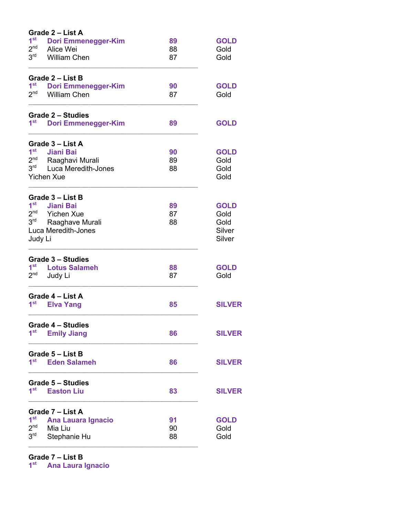|                 | Grade 2 - List A           |    |               |
|-----------------|----------------------------|----|---------------|
| 1 <sup>st</sup> | Dori Emmenegger-Kim        | 89 | <b>GOLD</b>   |
| 2 <sub>nd</sub> | Alice Wei                  | 88 | Gold          |
| 3 <sup>rd</sup> | <b>William Chen</b>        | 87 | Gold          |
|                 | Grade 2 - List B           |    |               |
| 1 <sup>st</sup> | <b>Dori Emmenegger-Kim</b> | 90 | <b>GOLD</b>   |
| 2 <sup>nd</sup> | <b>William Chen</b>        | 87 | Gold          |
|                 | <b>Grade 2 - Studies</b>   |    |               |
| 1 <sup>st</sup> | <b>Dori Emmenegger-Kim</b> | 89 | <b>GOLD</b>   |
|                 | Grade 3 - List A           |    |               |
| 1 <sup>st</sup> | <b>Jiani Bai</b>           | 90 | <b>GOLD</b>   |
| 2 <sup>nd</sup> | Raaghavi Murali            | 89 | Gold          |
| 3 <sup>rd</sup> | Luca Meredith-Jones        | 88 | Gold          |
|                 | <b>Yichen Xue</b>          |    | Gold          |
|                 | Grade 3 - List B           |    |               |
| 1 <sup>st</sup> | <b>Jiani Bai</b>           | 89 | <b>GOLD</b>   |
| 2 <sup>nd</sup> | <b>Yichen Xue</b>          | 87 | Gold          |
| 3 <sup>rd</sup> | Raaghave Murali            | 88 | Gold          |
|                 | Luca Meredith-Jones        |    | Silver        |
| Judy Li         |                            |    | Silver        |
|                 | <b>Grade 3 - Studies</b>   |    |               |
| 1 <sup>st</sup> | <b>Lotus Salameh</b>       | 88 | <b>GOLD</b>   |
| 2 <sub>nd</sub> | Judy Li                    | 87 | Gold          |
|                 | Grade 4 - List A           |    |               |
| 1 <sup>st</sup> | <b>Elva Yang</b>           | 85 | <b>SILVER</b> |
|                 | <b>Grade 4 - Studies</b>   |    |               |
| 1 <sup>st</sup> | <b>Emily Jiang</b>         | 86 | <b>SILVER</b> |
|                 | Grade 5 - List B           |    |               |
| 1 <sup>st</sup> | <b>Eden Salameh</b>        | 86 | <b>SILVER</b> |
|                 | <b>Grade 5 - Studies</b>   |    |               |
| 1 <sup>st</sup> | <b>Easton Liu</b>          | 83 | <b>SILVER</b> |
|                 | Grade 7 - List A           |    |               |
| 1 <sup>st</sup> | <b>Ana Lauara Ignacio</b>  | 91 | <b>GOLD</b>   |
| 2 <sub>nd</sub> | Mia Liu                    | 90 | Gold          |
| 3 <sup>rd</sup> | Stephanie Hu               | 88 | Gold          |
|                 |                            |    |               |

**Grade 7 – List B**

**1st Ana Laura Ignacio**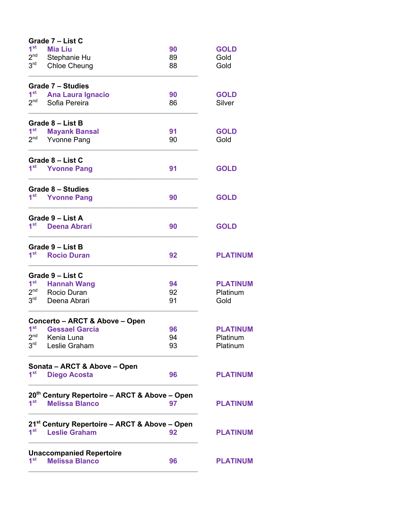|                 | Grade 7 - List C                                          |    |                 |
|-----------------|-----------------------------------------------------------|----|-----------------|
| 1 <sup>st</sup> | <b>Mia Liu</b>                                            | 90 | <b>GOLD</b>     |
| 2 <sup>nd</sup> | Stephanie Hu                                              | 89 | Gold            |
| 3 <sup>rd</sup> | <b>Chloe Cheung</b>                                       | 88 | Gold            |
|                 | Grade 7 – Studies                                         |    |                 |
| 1 <sup>st</sup> | <b>Ana Laura Ignacio</b>                                  | 90 | <b>GOLD</b>     |
| 2 <sup>nd</sup> | Sofia Pereira                                             | 86 | Silver          |
|                 | Grade 8 – List B                                          |    |                 |
| 1 <sup>st</sup> | <b>Mayank Bansal</b>                                      | 91 | <b>GOLD</b>     |
| 2 <sup>nd</sup> | <b>Yvonne Pang</b>                                        | 90 | Gold            |
|                 | Grade 8 - List C                                          |    |                 |
| 1 <sup>st</sup> | <b>Yvonne Pang</b>                                        | 91 | <b>GOLD</b>     |
|                 | <b>Grade 8 - Studies</b>                                  |    |                 |
| 1 <sup>st</sup> | <b>Yvonne Pang</b>                                        | 90 | <b>GOLD</b>     |
|                 | Grade 9 - List A                                          |    |                 |
| 1 <sup>st</sup> | <b>Deena Abrari</b>                                       | 90 | <b>GOLD</b>     |
|                 | Grade 9 - List B                                          |    |                 |
| 1 <sup>st</sup> | <b>Rocio Duran</b>                                        | 92 | <b>PLATINUM</b> |
|                 | Grade 9 - List C                                          |    |                 |
| 1 <sup>st</sup> | <b>Hannah Wang</b>                                        | 94 | <b>PLATINUM</b> |
| 2 <sup>nd</sup> | Rocio Duran                                               | 92 | Platinum        |
| 3 <sup>rd</sup> | Deena Abrari                                              | 91 | Gold            |
|                 | <b>Concerto - ARCT &amp; Above - Open</b>                 |    |                 |
| 1 <sup>st</sup> | <b>Gessael Garcia</b>                                     | 96 | <b>PLATINUM</b> |
| 2 <sup>nd</sup> | Kenia Luna                                                | 94 | Platinum        |
| $3^{\text{rd}}$ | Leslie Graham                                             | 93 | Platinum        |
|                 | Sonata - ARCT & Above - Open                              |    |                 |
| 1 <sup>st</sup> | <b>Diego Acosta</b>                                       | 96 | <b>PLATINUM</b> |
|                 | 20th Century Repertoire - ARCT & Above - Open             |    |                 |
| 1 <sup>st</sup> | <b>Melissa Blanco</b>                                     | 97 | <b>PLATINUM</b> |
|                 | 21 <sup>st</sup> Century Repertoire – ARCT & Above – Open |    |                 |
| 1 <sup>st</sup> | <b>Leslie Graham</b>                                      | 92 | <b>PLATINUM</b> |
|                 | <b>Unaccompanied Repertoire</b>                           |    |                 |
| 1 <sup>st</sup> | <b>Melissa Blanco</b>                                     | 96 | <b>PLATINUM</b> |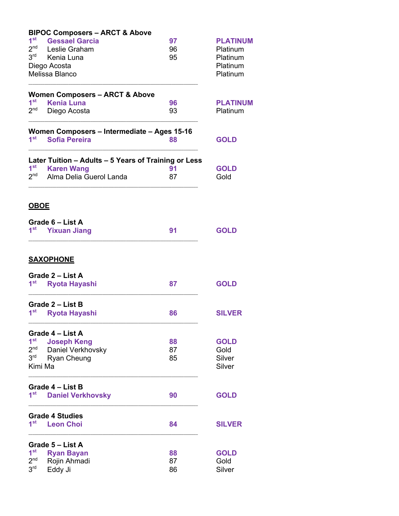|                                    | <b>BIPOC Composers - ARCT &amp; Above</b>            |          |                      |
|------------------------------------|------------------------------------------------------|----------|----------------------|
| 1 <sup>st</sup><br>2 <sup>nd</sup> | <b>Gessael Garcia</b>                                | 97       | <b>PLATINUM</b>      |
| 3 <sup>rd</sup>                    | Leslie Graham<br>Kenia Luna                          | 96<br>95 | Platinum<br>Platinum |
|                                    | Diego Acosta                                         |          | Platinum             |
|                                    | Melissa Blanco                                       |          | Platinum             |
|                                    |                                                      |          |                      |
|                                    | <b>Women Composers - ARCT &amp; Above</b>            |          |                      |
| 1 <sup>st</sup>                    | <b>Kenia Luna</b>                                    | 96       | <b>PLATINUM</b>      |
| 2 <sup>nd</sup>                    | Diego Acosta                                         | 93       | Platinum             |
|                                    | Women Composers - Intermediate - Ages 15-16          |          |                      |
| 1 <sup>st</sup>                    | <b>Sofia Pereira</b>                                 | 88       | <b>GOLD</b>          |
|                                    | Later Tuition - Adults - 5 Years of Training or Less |          |                      |
| $1^{\rm st}$                       | <b>Karen Wang</b>                                    | 91       | <b>GOLD</b>          |
| $2^{\text{nd}}$                    | Alma Delia Guerol Landa                              | 87       | Gold                 |
| <u>OBOE</u>                        |                                                      |          |                      |
|                                    | Grade 6 - List A                                     |          |                      |
| 1 <sup>st</sup>                    | <b>Yixuan Jiang</b>                                  | 91       | <b>GOLD</b>          |
|                                    |                                                      |          |                      |
|                                    | <b>SAXOPHONE</b>                                     |          |                      |
|                                    | Grade 2 - List A                                     |          |                      |
| 1 <sup>st</sup>                    | <b>Ryota Hayashi</b>                                 | 87       | <b>GOLD</b>          |
|                                    | Grade 2 - List B                                     |          |                      |
| 1 <sup>st</sup>                    | <b>Ryota Hayashi</b>                                 | 86       | <b>SILVER</b>        |
|                                    | Grade 4 - List A                                     |          |                      |
| 1 <sup>st</sup>                    | <b>Joseph Keng</b>                                   | 88       | <b>GOLD</b>          |
| 2 <sup>nd</sup>                    | Daniel Verkhovsky                                    | 87       | Gold                 |
| 3 <sup>rd</sup>                    | Ryan Cheung                                          | 85       | Silver               |
|                                    | Kimi Ma                                              |          | Silver               |
|                                    | Grade 4 – List B                                     |          |                      |
| 1 <sup>st</sup>                    | <b>Daniel Verkhovsky</b>                             | 90       | <b>GOLD</b>          |
|                                    | <b>Grade 4 Studies</b>                               |          |                      |
| 1 <sup>st</sup>                    | <b>Leon Choi</b>                                     | 84       | <b>SILVER</b>        |
|                                    | Grade 5 - List A                                     |          |                      |
| 1 <sup>st</sup>                    | <b>Ryan Bayan</b>                                    | 88       | <b>GOLD</b>          |
| 2 <sup>nd</sup>                    | Rojin Ahmadi                                         | 87       | Gold                 |
| 3 <sup>rd</sup>                    | Eddy Ji                                              | 86       | Silver               |
|                                    |                                                      |          |                      |